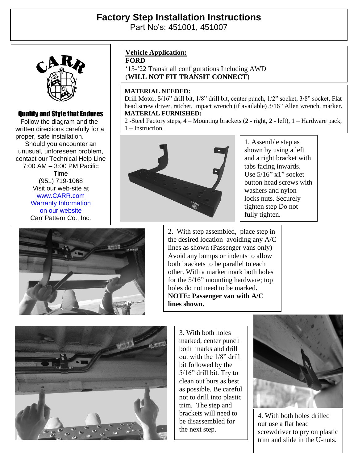# **Factory Step Installation Instructions**  Part No's: 451001, 451007



### Quality and Style that Endures

 Follow the diagram and the written directions carefully for a proper, safe installation. Should you encounter an unusual, unforeseen problem, contact our Technical Help Line 7:00 AM – 3:00 PM Pacific Time (951) 719-1068 Visit our web-site at [www.CARR.com](http://www.carr.com/) Warranty Information on our website Carr Pattern Co., Inc.

## **Vehicle Application:**

**FORD**

'15-'22 Transit all configurations Including AWD (**WILL NOT FIT TRANSIT CONNECT**)

#### **MATERIAL NEEDED:**

Drill Motor, 5/16" drill bit, 1/8" drill bit, center punch, 1/2" socket, 3/8" socket, Flat head screw driver, ratchet, impact wrench (if available) 3/16" Allen wrench, marker. **MATERIAL FURNISHED:**

2 -Steel Factory steps, 4 – Mounting brackets (2 - right, 2 - left), 1 – Hardware pack, 1 – Instruction.



1. Assemble step as shown by using a left and a right bracket with tabs facing inwards. Use 5/16" x1" socket button head screws with washers and nylon locks nuts. Securely tighten step Do not fully tighten.



2. With step assembled, place step in the desired location avoiding any A/C lines as shown (Passenger vans only) Avoid any bumps or indents to allow both brackets to be parallel to each other. With a marker mark both holes for the 5/16" mounting hardware; top holes do not need to be marked**. NOTE: Passenger van with A/C lines shown.**



3. With both holes marked, center punch both marks and drill out with the 1/8" drill bit followed by the 5/16" drill bit. Try to clean out burs as best as possible. Be careful not to drill into plastic trim. The step and brackets will need to be disassembled for the next step.



4. With both holes drilled out use a flat head screwdriver to pry on plastic trim and slide in the U-nuts.